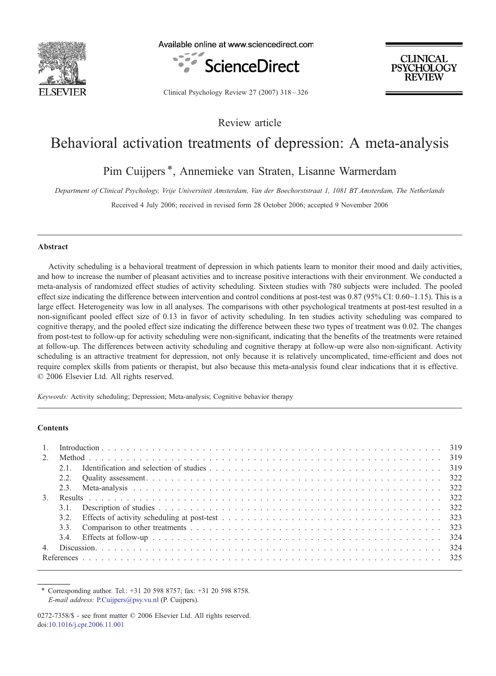

Available online at www.sciencedirect.com



**CLINICAL PSYCHOLOGY REVIEW** 

Clinical Psychology Review 27 (2007) 318–326

Review article

# Behavioral activation treatments of depression: A meta-analysis

# Pim Cuijpers\*, Annemieke van Straten, Lisanne Warmerdam

Department of Clinical Psychology, Vrije Universiteit Amsterdam, Van der Boechorststraat 1, 1081 BT Amsterdam, The Netherlands

Received 4 July 2006; received in revised form 28 October 2006; accepted 9 November 2006

### Abstract

Activity scheduling is a behavioral treatment of depression in which patients learn to monitor their mood and daily activities, and how to increase the number of pleasant activities and to increase positive interactions with their environment. We conducted a meta-analysis of randomized effect studies of activity scheduling. Sixteen studies with 780 subjects were included. The pooled effect size indicating the difference between intervention and control conditions at post-test was 0.87 (95% CI: 0.60~1.15). This is a large effect. Heterogeneity was low in all analyses. The comparisons with other psychological treatments at post-test resulted in a non-significant pooled effect size of 0.13 in favor of activity scheduling. In ten studies activity scheduling was compared to cognitive therapy, and the pooled effect size indicating the difference between these two types of treatment was 0.02. The changes from post-test to follow-up for activity scheduling were non-significant, indicating that the benefits of the treatments were retained at follow-up. The differences between activity scheduling and cognitive therapy at follow-up were also non-significant. Activity scheduling is an attractive treatment for depression, not only because it is relatively uncomplicated, time-efficient and does not require complex skills from patients or therapist, but also because this meta-analysis found clear indications that it is effective. © 2006 Elsevier Ltd. All rights reserved.

Keywords: Activity scheduling; Depression; Meta-analysis; Cognitive behavior therapy

### **Contents**

| $2^{1}$          |      |  |  |  |  |  |  |  |  |  |
|------------------|------|--|--|--|--|--|--|--|--|--|
|                  | 2.1  |  |  |  |  |  |  |  |  |  |
|                  |      |  |  |  |  |  |  |  |  |  |
|                  |      |  |  |  |  |  |  |  |  |  |
| $\mathfrak{Z}$ . |      |  |  |  |  |  |  |  |  |  |
|                  |      |  |  |  |  |  |  |  |  |  |
|                  | 3.2. |  |  |  |  |  |  |  |  |  |
|                  |      |  |  |  |  |  |  |  |  |  |
|                  |      |  |  |  |  |  |  |  |  |  |
| 4.               |      |  |  |  |  |  |  |  |  |  |
|                  |      |  |  |  |  |  |  |  |  |  |

⁎ Corresponding author. Tel.: +31 20 598 8757; fax: +31 20 598 8758. E-mail address: [P.Cuijpers@psy.vu.nl](mailto:P.Cuijpers@psy.vu.nl) (P. Cuijpers).

<sup>0272-7358/\$ -</sup> see front matter © 2006 Elsevier Ltd. All rights reserved. doi[:10.1016/j.cpr.2006.11.001](http://dx.doi.org/10.1016/j.cpr.2006.11.001)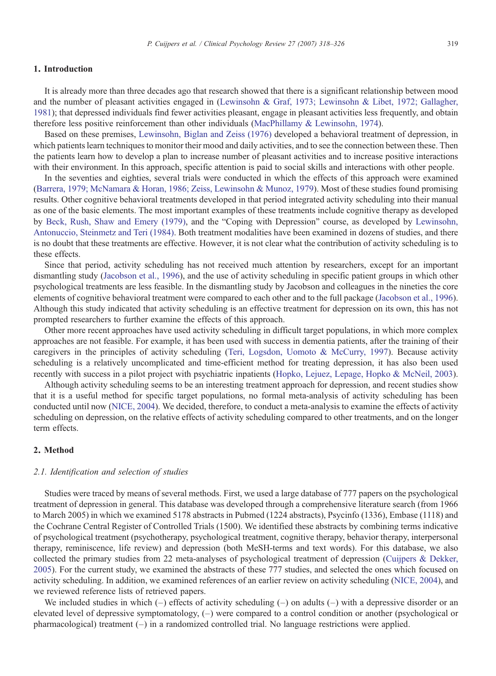#### 1. Introduction

It is already more than three decades ago that research showed that there is a significant relationship between mood and the number of pleasant activities engaged in [\(Lewinsohn & Graf, 1973; Lewinsohn & Libet, 1972; Gallagher,](#page-8-0) [1981\)](#page-8-0); that depressed individuals find fewer activities pleasant, engage in pleasant activities less frequently, and obtain therefore less positive reinforcement than other individuals [\(MacPhillamy & Lewinsohn, 1974\)](#page-8-0).

Based on these premises, [Lewinsohn, Biglan and Zeiss \(1976\)](#page-8-0) developed a behavioral treatment of depression, in which patients learn techniques to monitor their mood and daily activities, and to see the connection between these. Then the patients learn how to develop a plan to increase number of pleasant activities and to increase positive interactions with their environment. In this approach, specific attention is paid to social skills and interactions with other people.

In the seventies and eighties, several trials were conducted in which the effects of this approach were examined [\(Barrera, 1979; McNamara & Horan, 1986; Zeiss, Lewinsohn & Munoz, 1979](#page-7-0)). Most of these studies found promising results. Other cognitive behavioral treatments developed in that period integrated activity scheduling into their manual as one of the basic elements. The most important examples of these treatments include cognitive therapy as developed by [Beck, Rush, Shaw and Emery \(1979\),](#page-7-0) and the "Coping with Depression" course, as developed by [Lewinsohn,](#page-8-0) [Antonuccio, Steinmetz and Teri \(1984\)](#page-8-0). Both treatment modalities have been examined in dozens of studies, and there is no doubt that these treatments are effective. However, it is not clear what the contribution of activity scheduling is to these effects.

Since that period, activity scheduling has not received much attention by researchers, except for an important dismantling study ([Jacobson et al., 1996](#page-8-0)), and the use of activity scheduling in specific patient groups in which other psychological treatments are less feasible. In the dismantling study by Jacobson and colleagues in the nineties the core elements of cognitive behavioral treatment were compared to each other and to the full package [\(Jacobson et al., 1996](#page-8-0)). Although this study indicated that activity scheduling is an effective treatment for depression on its own, this has not prompted researchers to further examine the effects of this approach.

Other more recent approaches have used activity scheduling in difficult target populations, in which more complex approaches are not feasible. For example, it has been used with success in dementia patients, after the training of their caregivers in the principles of activity scheduling [\(Teri, Logsdon, Uomoto & McCurry, 1997](#page-8-0)). Because activity scheduling is a relatively uncomplicated and time-efficient method for treating depression, it has also been used recently with success in a pilot project with psychiatric inpatients ([Hopko, Lejuez, Lepage, Hopko & McNeil, 2003](#page-8-0)).

Although activity scheduling seems to be an interesting treatment approach for depression, and recent studies show that it is a useful method for specific target populations, no formal meta-analysis of activity scheduling has been conducted until now ([NICE, 2004](#page-8-0)). We decided, therefore, to conduct a meta-analysis to examine the effects of activity scheduling on depression, on the relative effects of activity scheduling compared to other treatments, and on the longer term effects.

# 2. Method

# 2.1. Identification and selection of studies

Studies were traced by means of several methods. First, we used a large database of 777 papers on the psychological treatment of depression in general. This database was developed through a comprehensive literature search (from 1966 to March 2005) in which we examined 5178 abstracts in Pubmed (1224 abstracts), Psycinfo (1336), Embase (1118) and the Cochrane Central Register of Controlled Trials (1500). We identified these abstracts by combining terms indicative of psychological treatment (psychotherapy, psychological treatment, cognitive therapy, behavior therapy, interpersonal therapy, reminiscence, life review) and depression (both MeSH-terms and text words). For this database, we also collected the primary studies from 22 meta-analyses of psychological treatment of depression ([Cuijpers & Dekker,](#page-8-0) [2005\)](#page-8-0). For the current study, we examined the abstracts of these 777 studies, and selected the ones which focused on activity scheduling. In addition, we examined references of an earlier review on activity scheduling ([NICE, 2004\)](#page-8-0), and we reviewed reference lists of retrieved papers.

We included studies in which  $(-)$  effects of activity scheduling  $(-)$  on adults  $(-)$  with a depressive disorder or an elevated level of depressive symptomatology, (–) were compared to a control condition or another (psychological or pharmacological) treatment  $(-)$  in a randomized controlled trial. No language restrictions were applied.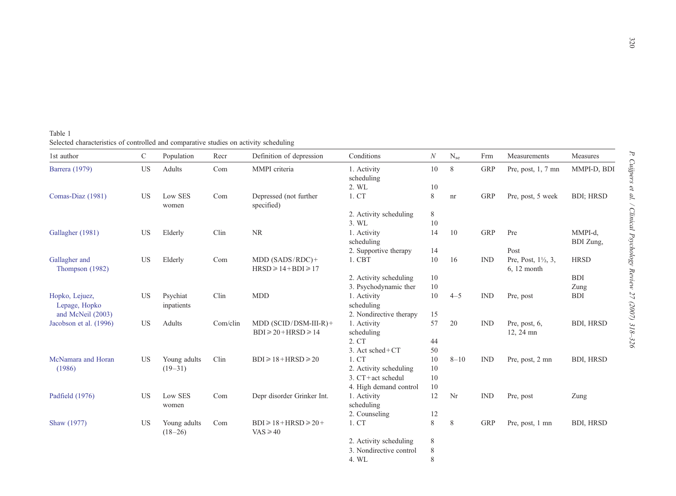<span id="page-2-0"></span>Table 1 Selected characteristics of controlled and comparative studies on activity scheduling

| 1st author                       | $\mathcal{C}$ | Population                | Recr     | Definition of depression                             | Conditions                | $\cal N$    | $N_{se}$ | Frm            | Measurements                                    | Measures          |
|----------------------------------|---------------|---------------------------|----------|------------------------------------------------------|---------------------------|-------------|----------|----------------|-------------------------------------------------|-------------------|
| Barrera (1979)                   | US            | Adults                    | Com      | MMPI criteria                                        | 1. Activity<br>scheduling | 10          | 8        | <b>GRP</b>     | Pre, post, $1, 7$ mn                            | MMPI-D, BDI       |
|                                  |               |                           |          |                                                      | 2. WL                     | 10          |          |                |                                                 |                   |
| Comas-Diaz (1981)                | <b>US</b>     | Low SES<br>women          | Com      | Depressed (not further<br>specified)                 | 1. CT                     | 8           | nr       | <b>GRP</b>     | Pre, post, 5 week                               | <b>BDI</b> ; HRSD |
|                                  |               |                           |          |                                                      | 2. Activity scheduling    | $\,$ 8 $\,$ |          |                |                                                 |                   |
|                                  |               |                           |          |                                                      | 3. WL                     | 10          |          |                |                                                 |                   |
| Gallagher (1981)                 | <b>US</b>     | Elderly                   | Clin     | <b>NR</b>                                            | 1. Activity               | 14          | 10       | <b>GRP</b>     | Pre                                             | MMPI-d,           |
|                                  |               |                           |          |                                                      | scheduling                |             |          |                |                                                 | BDI Zung,         |
|                                  |               |                           |          |                                                      | 2. Supportive therapy     | 14          |          |                | Post                                            |                   |
| Gallagher and<br>Thompson (1982) | <b>US</b>     | Elderly                   | Com      | $MDD (SADS/ RDC) +$<br>$HRSD \geq 14 + BDI \geq 17$  | 1. CBT                    | 10          | 16       | IND            | Pre, Post, $1\frac{1}{2}$ , 3,<br>$6, 12$ month | <b>HRSD</b>       |
|                                  |               |                           |          |                                                      | 2. Activity scheduling    | 10          |          |                |                                                 | <b>BDI</b>        |
|                                  |               |                           |          |                                                      | 3. Psychodynamic ther     | 10          |          |                |                                                 | Zung              |
| Hopko, Lejuez,                   | US            | Psychiat                  | Clin     | <b>MDD</b>                                           | 1. Activity               | 10          | $4 - 5$  | <b>IND</b>     | Pre, post                                       | <b>BDI</b>        |
| Lepage, Hopko                    |               | inpatients                |          |                                                      | scheduling                |             |          |                |                                                 |                   |
| and McNeil (2003)                |               |                           |          |                                                      | 2. Nondirective therapy   | 15          |          |                |                                                 |                   |
| Jacobson et al. (1996)           | US            | Adults                    | Com/clin | $MDD$ (SCID/DSM-III-R)+                              | 1. Activity               | 57          | 20       | $\mathbb{IND}$ | Pre, post, 6,                                   | <b>BDI, HRSD</b>  |
|                                  |               |                           |          | $BDI \geq 20 + HRSD \geq 14$                         | scheduling                |             |          |                | 12, 24 mn                                       |                   |
|                                  |               |                           |          |                                                      | 2. CT                     | 44          |          |                |                                                 |                   |
|                                  |               |                           |          |                                                      | 3. Act sched+CT           | 50          |          |                |                                                 |                   |
| McNamara and Horan               | US            | Young adults              | Clin     | $BDI \ge 18 + HRSD \ge 20$                           | 1. CT                     | 10          | $8 - 10$ | $\mathbb{IND}$ | Pre, post, 2 mn                                 | <b>BDI, HRSD</b>  |
| (1986)                           |               | $(19 - 31)$               |          |                                                      | 2. Activity scheduling    | 10          |          |                |                                                 |                   |
|                                  |               |                           |          |                                                      | 3. CT+act schedul         | 10          |          |                |                                                 |                   |
|                                  |               |                           |          |                                                      | 4. High demand control    | 10          |          |                |                                                 |                   |
| Padfield (1976)                  | US            | Low SES                   | Com      | Depr disorder Grinker Int.                           | 1. Activity               | 12          | Nr       | $\mathbb{IND}$ | Pre, post                                       | Zung              |
|                                  |               | women                     |          |                                                      | scheduling                |             |          |                |                                                 |                   |
|                                  |               |                           |          |                                                      | 2. Counseling             | 12          |          |                |                                                 |                   |
| Shaw (1977)                      | <b>US</b>     | Young adults<br>$(18-26)$ | Com      | $BDI \ge 18 + HRSD \ge 20 +$<br>$\text{VAS} \geq 40$ | 1. CT                     | 8           | 8        | <b>GRP</b>     | Pre, post, 1 mn                                 | <b>BDI, HRSD</b>  |
|                                  |               |                           |          |                                                      | 2. Activity scheduling    | 8           |          |                |                                                 |                   |
|                                  |               |                           |          |                                                      | 3. Nondirective control   | $\,$ 8 $\,$ |          |                |                                                 |                   |
|                                  |               |                           |          |                                                      | 4. WL                     | 8           |          |                |                                                 |                   |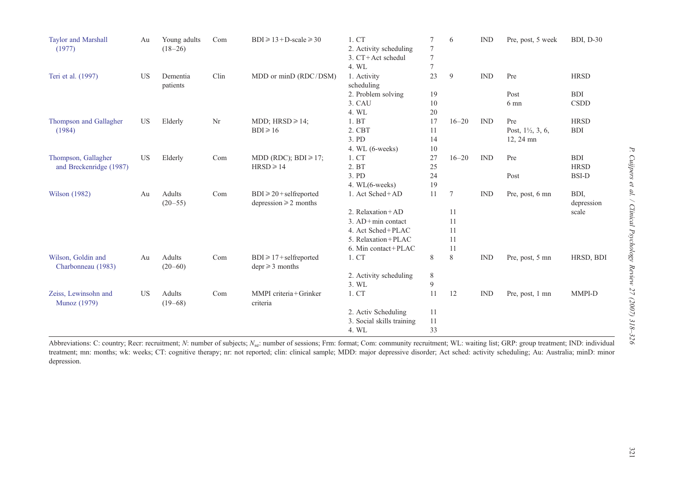| <b>Taylor and Marshall</b><br>(1977) | Au        | Young adults<br>$(18-26)$ | Com  | $BDI \ge 13 + D-scale \ge 30$       | 1. CT<br>2. Activity scheduling | 7<br>$\overline{7}$ | 6         | <b>IND</b> | Pre, post, 5 week            | <b>BDI, D-30</b> |
|--------------------------------------|-----------|---------------------------|------|-------------------------------------|---------------------------------|---------------------|-----------|------------|------------------------------|------------------|
|                                      |           |                           |      |                                     | 3. CT+Act schedul               | 7                   |           |            |                              |                  |
|                                      |           |                           |      |                                     | 4. WL                           | $\overline{7}$      |           |            |                              |                  |
| Teri et al. (1997)                   | US        | Dementia                  | Clin | MDD or minD (RDC/DSM)               | 1. Activity                     | 23                  | 9         | IND        | Pre                          | <b>HRSD</b>      |
|                                      |           | patients                  |      |                                     | scheduling                      |                     |           |            | Post                         | <b>BDI</b>       |
|                                      |           |                           |      |                                     | 2. Problem solving<br>3. CAU    | 19<br>10            |           |            | $6 \text{ mm}$               | <b>CSDD</b>      |
|                                      |           |                           |      |                                     | 4. WL                           | 20                  |           |            |                              |                  |
|                                      |           |                           | Nr   | MDD; $HRSD \ge 14$ ;                | 1. BT                           | 17                  | $16 - 20$ | IND        | Pre                          | <b>HRSD</b>      |
| Thompson and Gallagher<br>(1984)     | US        | Elderly                   |      | $BDI \ge 16$                        | 2. CBT                          | 11                  |           |            | Post, $1\frac{1}{2}$ , 3, 6, | <b>BDI</b>       |
|                                      |           |                           |      |                                     | 3. PD                           | 14                  |           |            | 12, 24 mn                    |                  |
|                                      |           |                           |      |                                     | 4. WL $(6$ -weeks $)$           | 10                  |           |            |                              |                  |
| Thompson, Gallagher                  | <b>US</b> | Elderly                   | Com  | MDD (RDC); BDI $\geq 17$ ;          | 1. CT                           | 27                  | $16 - 20$ | <b>IND</b> | Pre                          | <b>BDI</b>       |
| and Breckenridge (1987)              |           |                           |      | $HRSD \geq 14$                      | 2. BT                           | 25                  |           |            |                              | <b>HRSD</b>      |
|                                      |           |                           |      |                                     | 3. PD                           | 24                  |           |            | Post                         | <b>BSI-D</b>     |
|                                      |           |                           |      |                                     | 4. WL(6-weeks)                  | 19                  |           |            |                              |                  |
| Wilson (1982)                        | Au        | Adults                    | Com  | $BDI \geq 20 + \text{selfreported}$ | 1. Act Sched+AD                 | 11                  | 7         | <b>IND</b> | Pre, post, 6 mn              | BDI,             |
|                                      |           | $(20 - 55)$               |      | depression $\geq 2$ months          |                                 |                     |           |            |                              | depression       |
|                                      |           |                           |      |                                     | 2. Relaxation + AD              |                     | 11        |            |                              | scale            |
|                                      |           |                           |      |                                     | $3. AD + min$ contact           |                     | 11        |            |                              |                  |
|                                      |           |                           |      |                                     | 4. Act Sched+PLAC               |                     | 11        |            |                              |                  |
|                                      |           |                           |      |                                     | 5. Relaxation + PLAC            |                     | 11        |            |                              |                  |
|                                      |           |                           |      |                                     | 6. Min contact + PLAC           |                     | 11        |            |                              |                  |
| Wilson, Goldin and                   | Au        | Adults                    | Com  | $BDI \ge 17 + selfreported$         | 1. CT                           | 8                   | 8         | IND        | Pre, post, 5 mn              | HRSD, BDI        |
| Charbonneau (1983)                   |           | $(20-60)$                 |      | $depr \geq 3$ months                |                                 |                     |           |            |                              |                  |
|                                      |           |                           |      |                                     | 2. Activity scheduling          | 8                   |           |            |                              |                  |
|                                      |           |                           |      |                                     | 3. WL                           | 9                   |           |            |                              |                  |
| Zeiss, Lewinsohn and                 | <b>US</b> | <b>Adults</b>             | Com  | MMPI criteria+Grinker               | 1. CT                           | 11                  | 12        | IND        | Pre, post, 1 mn              | MMPI-D           |
| Munoz (1979)                         |           | $(19-68)$                 |      | criteria                            |                                 |                     |           |            |                              |                  |
|                                      |           |                           |      |                                     | 2. Activ Scheduling             | 11                  |           |            |                              |                  |
|                                      |           |                           |      |                                     | 3. Social skills training       | 11                  |           |            |                              |                  |
|                                      |           |                           |      |                                     | 4. WL                           | 33                  |           |            |                              |                  |

Abbreviations: C: country; Recr: recruitment; N: number of subjects;  $N_{\rm sc}$ : number of sessions; Frm: format; Com: community recruitment; WL: waiting list; GRP: group treatment; IND: individual treatment; mn: months; wk: weeks; CT: cognitive therapy; nr: not reported; clin: clinical sample; MDD: major depressive disorder; Act sched: activity scheduling; Au: Australia; minD: minor depression.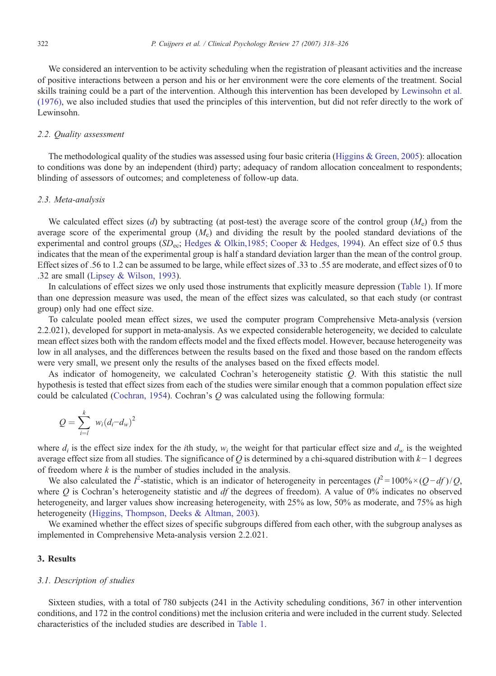We considered an intervention to be activity scheduling when the registration of pleasant activities and the increase of positive interactions between a person and his or her environment were the core elements of the treatment. Social skills training could be a part of the intervention. Although this intervention has been developed by [Lewinsohn et al.](#page-8-0) [\(1976\),](#page-8-0) we also included studies that used the principles of this intervention, but did not refer directly to the work of Lewinsohn.

### 2.2. Quality assessment

The methodological quality of the studies was assessed using four basic criteria (Higgins  $\&$  Green, 2005): allocation to conditions was done by an independent (third) party; adequacy of random allocation concealment to respondents; blinding of assessors of outcomes; and completeness of follow-up data.

#### 2.3. Meta-analysis

We calculated effect sizes (d) by subtracting (at post-test) the average score of the control group  $(M_e)$  from the average score of the experimental group  $(M<sub>c</sub>)$  and dividing the result by the pooled standard deviations of the experimental and control groups ( $SD_{ec}$ ; [Hedges & Olkin,1985; Cooper & Hedges, 1994\)](#page-8-0). An effect size of 0.5 thus indicates that the mean of the experimental group is half a standard deviation larger than the mean of the control group. Effect sizes of .56 to 1.2 can be assumed to be large, while effect sizes of .33 to .55 are moderate, and effect sizes of 0 to .32 are small [\(Lipsey & Wilson, 1993](#page-8-0)).

In calculations of effect sizes we only used those instruments that explicitly measure depression [\(Table 1\)](#page-2-0). If more than one depression measure was used, the mean of the effect sizes was calculated, so that each study (or contrast group) only had one effect size.

To calculate pooled mean effect sizes, we used the computer program Comprehensive Meta-analysis (version 2.2.021), developed for support in meta-analysis. As we expected considerable heterogeneity, we decided to calculate mean effect sizes both with the random effects model and the fixed effects model. However, because heterogeneity was low in all analyses, and the differences between the results based on the fixed and those based on the random effects were very small, we present only the results of the analyses based on the fixed effects model.

As indicator of homogeneity, we calculated Cochran's heterogeneity statistic Q. With this statistic the null hypothesis is tested that effect sizes from each of the studies were similar enough that a common population effect size could be calculated ([Cochran, 1954\)](#page-7-0). Cochran's  $Q$  was calculated using the following formula:

$$
Q=\sum_{i=l}^k w_i (d_i-d_w)^2
$$

where  $d_i$  is the effect size index for the *i*th study,  $w_i$  the weight for that particular effect size and  $d_w$  is the weighted average effect size from all studies. The significance of Q is determined by a chi-squared distribution with  $k-1$  degrees of freedom where  $k$  is the number of studies included in the analysis.

We also calculated the  $I^2$ -statistic, which is an indicator of heterogeneity in percentages  $(I^2 = 100\% \times (Q - df)/Q$ , where  $Q$  is Cochran's heterogeneity statistic and df the degrees of freedom). A value of 0% indicates no observed heterogeneity, and larger values show increasing heterogeneity, with 25% as low, 50% as moderate, and 75% as high heterogeneity [\(Higgins, Thompson, Deeks & Altman, 2003](#page-8-0)).

We examined whether the effect sizes of specific subgroups differed from each other, with the subgroup analyses as implemented in Comprehensive Meta-analysis version 2.2.021.

## 3. Results

#### 3.1. Description of studies

Sixteen studies, with a total of 780 subjects (241 in the Activity scheduling conditions, 367 in other intervention conditions, and 172 in the control conditions) met the inclusion criteria and were included in the current study. Selected characteristics of the included studies are described in [Table 1](#page-2-0).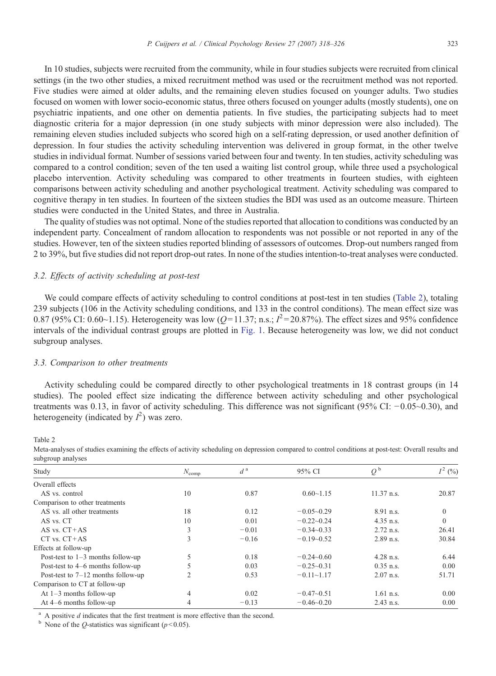In 10 studies, subjects were recruited from the community, while in four studies subjects were recruited from clinical settings (in the two other studies, a mixed recruitment method was used or the recruitment method was not reported. Five studies were aimed at older adults, and the remaining eleven studies focused on younger adults. Two studies focused on women with lower socio-economic status, three others focused on younger adults (mostly students), one on psychiatric inpatients, and one other on dementia patients. In five studies, the participating subjects had to meet diagnostic criteria for a major depression (in one study subjects with minor depression were also included). The remaining eleven studies included subjects who scored high on a self-rating depression, or used another definition of depression. In four studies the activity scheduling intervention was delivered in group format, in the other twelve studies in individual format. Number of sessions varied between four and twenty. In ten studies, activity scheduling was compared to a control condition; seven of the ten used a waiting list control group, while three used a psychological placebo intervention. Activity scheduling was compared to other treatments in fourteen studies, with eighteen comparisons between activity scheduling and another psychological treatment. Activity scheduling was compared to cognitive therapy in ten studies. In fourteen of the sixteen studies the BDI was used as an outcome measure. Thirteen studies were conducted in the United States, and three in Australia.

The quality of studies was not optimal. None of the studies reported that allocation to conditions was conducted by an independent party. Concealment of random allocation to respondents was not possible or not reported in any of the studies. However, ten of the sixteen studies reported blinding of assessors of outcomes. Drop-out numbers ranged from 2 to 39%, but five studies did not report drop-out rates. In none of the studies intention-to-treat analyses were conducted.

#### 3.2. Effects of activity scheduling at post-test

We could compare effects of activity scheduling to control conditions at post-test in ten studies (Table 2), totaling 239 subjects (106 in the Activity scheduling conditions, and 133 in the control conditions). The mean effect size was 0.87 (95% CI: 0.60~1.15). Heterogeneity was low (Q=11.37; n.s.;  $I^2 = 20.87$ %). The effect sizes and 95% confidence intervals of the individual contrast groups are plotted in [Fig. 1](#page-6-0). Because heterogeneity was low, we did not conduct subgroup analyses.

### 3.3. Comparison to other treatments

Activity scheduling could be compared directly to other psychological treatments in 18 contrast groups (in 14 studies). The pooled effect size indicating the difference between activity scheduling and other psychological treatments was 0.13, in favor of activity scheduling. This difference was not significant (95% CI: −0.05~0.30), and heterogeneity (indicated by  $I^2$ ) was zero.

Table 2

Effects at follow-up

Comparison to CT at follow-up

| subgroup analyses              |                   |      |                |              |       |  |  |  |  |  |
|--------------------------------|-------------------|------|----------------|--------------|-------|--|--|--|--|--|
| Study                          | $N_{\text{comp}}$ |      | 95% CI         |              | (9/6) |  |  |  |  |  |
| Overall effects                |                   |      |                |              |       |  |  |  |  |  |
| AS vs. control                 | 10                | 0.87 | $0.60 - 1.15$  | $11.37$ n.s. | 20.87 |  |  |  |  |  |
| Comparison to other treatments |                   |      |                |              |       |  |  |  |  |  |
| AS vs. all other treatments    | 18                | 0.12 | $-0.05 - 0.29$ | 8.91 n.s.    |       |  |  |  |  |  |

AS vs. CT 10 0.01  $-0.22-0.24$  4.35 n.s. 0 AS vs. CT+AS  $3 -0.01 -0.34 -0.33$  2.72 n.s. 26.41 CT vs. CT+AS  $3 -0.16 -0.19 -0.52$  2.89 n.s.  $30.84$ 

Post-test to 1–3 months follow-up 5 0.18  $-0.24-0.60$  4.28 n.s. 6.44 Post-test to 4–6 months follow-up 5 0.03 −0.25~0.31 0.35 n.s. 0.00 Post-test to 7–12 months follow-up 2 0.53 −0.11~1.17 2.07 n.s. 51.71

At 1–3 months follow-up 4 0.02 −0.47~0.51 1.61 n.s. 0.00 At 4–6 months follow-up 4 −0.13 −0.46~0.20 2.43 n.s. 0.00

Meta-analyses of studies examining the effects of activity scheduling on depression compared to control conditions at post-test: Overall results and subgroup and there

A positive  $d$  indicates that the first treatment is more effective than the second.

<sup>b</sup> None of the *Q*-statistics was significant ( $p<0.05$ ).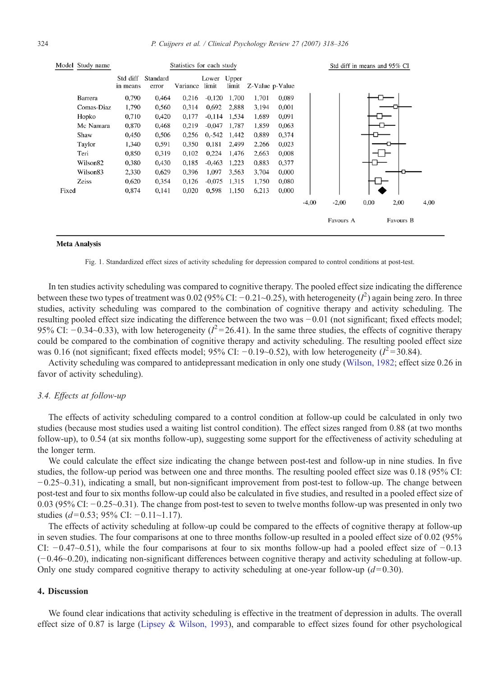<span id="page-6-0"></span>

#### **Meta Analysis**



In ten studies activity scheduling was compared to cognitive therapy. The pooled effect size indicating the difference between these two types of treatment was 0.02 (95% CI: -0.21~0.25), with heterogeneity ( $I^2$ ) again being zero. In three studies, activity scheduling was compared to the combination of cognitive therapy and activity scheduling. The resulting pooled effect size indicating the difference between the two was −0.01 (not significant; fixed effects model; 95% CI:  $-0.34$ ~0.33), with low heterogeneity ( $I^2$ =26.41). In the same three studies, the effects of cognitive therapy could be compared to the combination of cognitive therapy and activity scheduling. The resulting pooled effect size was 0.16 (not significant; fixed effects model; 95% CI:  $-0.19$ ~0.52), with low heterogeneity ( $l^2$ =30.84).

Activity scheduling was compared to antidepressant medication in only one study [\(Wilson, 1982](#page-8-0); effect size 0.26 in favor of activity scheduling).

# 3.4. Effects at follow-up

The effects of activity scheduling compared to a control condition at follow-up could be calculated in only two studies (because most studies used a waiting list control condition). The effect sizes ranged from 0.88 (at two months follow-up), to 0.54 (at six months follow-up), suggesting some support for the effectiveness of activity scheduling at the longer term.

We could calculate the effect size indicating the change between post-test and follow-up in nine studies. In five studies, the follow-up period was between one and three months. The resulting pooled effect size was 0.18 (95% CI: −0.25~0.31), indicating a small, but non-significant improvement from post-test to follow-up. The change between post-test and four to six months follow-up could also be calculated in five studies, and resulted in a pooled effect size of 0.03 (95% CI: −0.25~0.31). The change from post-test to seven to twelve months follow-up was presented in only two studies ( $d=0.53$ ; 95% CI: −0.11∼1.17).

The effects of activity scheduling at follow-up could be compared to the effects of cognitive therapy at follow-up in seven studies. The four comparisons at one to three months follow-up resulted in a pooled effect size of 0.02 (95% CI: −0.47~0.51), while the four comparisons at four to six months follow-up had a pooled effect size of −0.13 (−0.46~0.20), indicating non-significant differences between cognitive therapy and activity scheduling at follow-up. Only one study compared cognitive therapy to activity scheduling at one-year follow-up  $(d= 0.30)$ .

# 4. Discussion

We found clear indications that activity scheduling is effective in the treatment of depression in adults. The overall effect size of 0.87 is large ([Lipsey & Wilson, 1993\)](#page-8-0), and comparable to effect sizes found for other psychological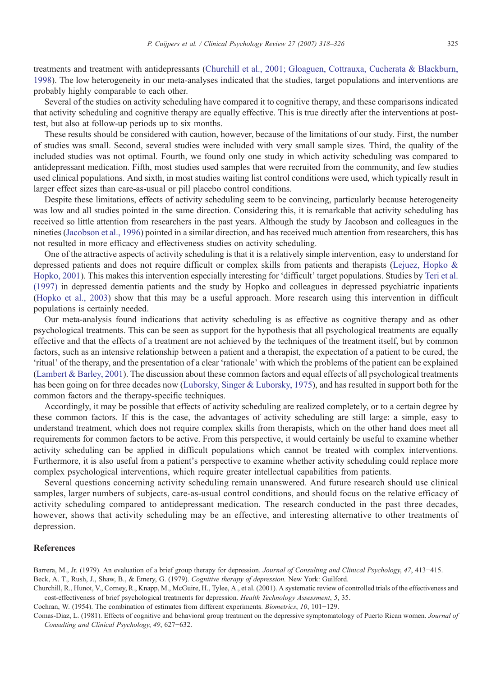<span id="page-7-0"></span>treatments and treatment with antidepressants (Churchill et al., 2001; Gloaguen, Cottrauxa, Cucherata & Blackburn, 1998). The low heterogeneity in our meta-analyses indicated that the studies, target populations and interventions are probably highly comparable to each other.

Several of the studies on activity scheduling have compared it to cognitive therapy, and these comparisons indicated that activity scheduling and cognitive therapy are equally effective. This is true directly after the interventions at posttest, but also at follow-up periods up to six months.

These results should be considered with caution, however, because of the limitations of our study. First, the number of studies was small. Second, several studies were included with very small sample sizes. Third, the quality of the included studies was not optimal. Fourth, we found only one study in which activity scheduling was compared to antidepressant medication. Fifth, most studies used samples that were recruited from the community, and few studies used clinical populations. And sixth, in most studies waiting list control conditions were used, which typically result in larger effect sizes than care-as-usual or pill placebo control conditions.

Despite these limitations, effects of activity scheduling seem to be convincing, particularly because heterogeneity was low and all studies pointed in the same direction. Considering this, it is remarkable that activity scheduling has received so little attention from researchers in the past years. Although the study by Jacobson and colleagues in the nineties ([Jacobson et al., 1996](#page-8-0)) pointed in a similar direction, and has received much attention from researchers, this has not resulted in more efficacy and effectiveness studies on activity scheduling.

One of the attractive aspects of activity scheduling is that it is a relatively simple intervention, easy to understand for depressed patients and does not require difficult or complex skills from patients and therapists [\(Lejuez, Hopko &](#page-8-0) [Hopko, 2001\)](#page-8-0). This makes this intervention especially interesting for 'difficult' target populations. Studies by [Teri et al.](#page-8-0) [\(1997\)](#page-8-0) in depressed dementia patients and the study by Hopko and colleagues in depressed psychiatric inpatients [\(Hopko et al., 2003](#page-8-0)) show that this may be a useful approach. More research using this intervention in difficult populations is certainly needed.

Our meta-analysis found indications that activity scheduling is as effective as cognitive therapy and as other psychological treatments. This can be seen as support for the hypothesis that all psychological treatments are equally effective and that the effects of a treatment are not achieved by the techniques of the treatment itself, but by common factors, such as an intensive relationship between a patient and a therapist, the expectation of a patient to be cured, the 'ritual' of the therapy, and the presentation of a clear 'rationale' with which the problems of the patient can be explained [\(Lambert & Barley, 2001](#page-8-0)). The discussion about these common factors and equal effects of all psychological treatments has been going on for three decades now [\(Luborsky, Singer & Luborsky, 1975\)](#page-8-0), and has resulted in support both for the common factors and the therapy-specific techniques.

Accordingly, it may be possible that effects of activity scheduling are realized completely, or to a certain degree by these common factors. If this is the case, the advantages of activity scheduling are still large: a simple, easy to understand treatment, which does not require complex skills from therapists, which on the other hand does meet all requirements for common factors to be active. From this perspective, it would certainly be useful to examine whether activity scheduling can be applied in difficult populations which cannot be treated with complex interventions. Furthermore, it is also useful from a patient's perspective to examine whether activity scheduling could replace more complex psychological interventions, which require greater intellectual capabilities from patients.

Several questions concerning activity scheduling remain unanswered. And future research should use clinical samples, larger numbers of subjects, care-as-usual control conditions, and should focus on the relative efficacy of activity scheduling compared to antidepressant medication. The research conducted in the past three decades, however, shows that activity scheduling may be an effective, and interesting alternative to other treatments of depression.

# References

Barrera, M., Jr. (1979). An evaluation of a brief group therapy for depression. Journal of Consulting and Clinical Psychology, 47, 413−415. Beck, A. T., Rush, J., Shaw, B., & Emery, G. (1979). Cognitive therapy of depression. New York: Guilford.

Churchill, R., Hunot, V., Corney, R., Knapp, M., McGuire, H., Tylee, A., et al. (2001). A systematic review of controlled trials of the effectiveness and cost-effectiveness of brief psychological treatments for depression. Health Technology Assessment, 5, 35.

Cochran, W. (1954). The combination of estimates from different experiments. Biometrics, 10, 101−129.

Comas-Diaz, L. (1981). Effects of cognitive and behavioral group treatment on the depressive symptomatology of Puerto Rican women. Journal of Consulting and Clinical Psychology, 49, 627−632.